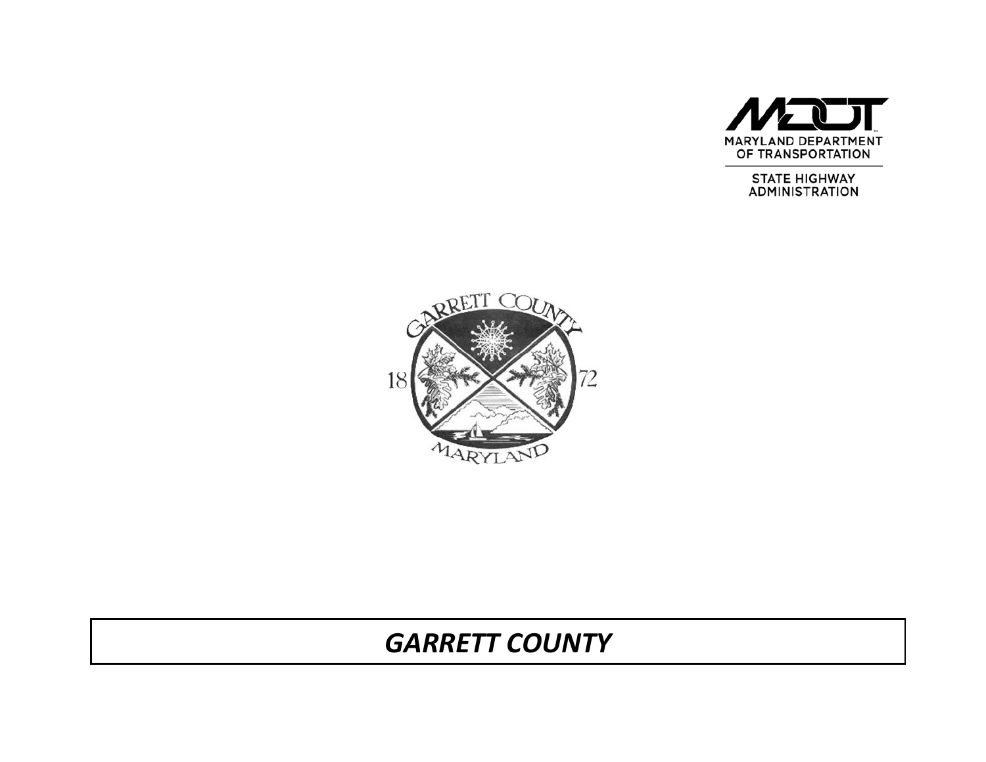

STATE HIGHWAY<br>ADMINISTRATION



# *GARRETT COUNTY*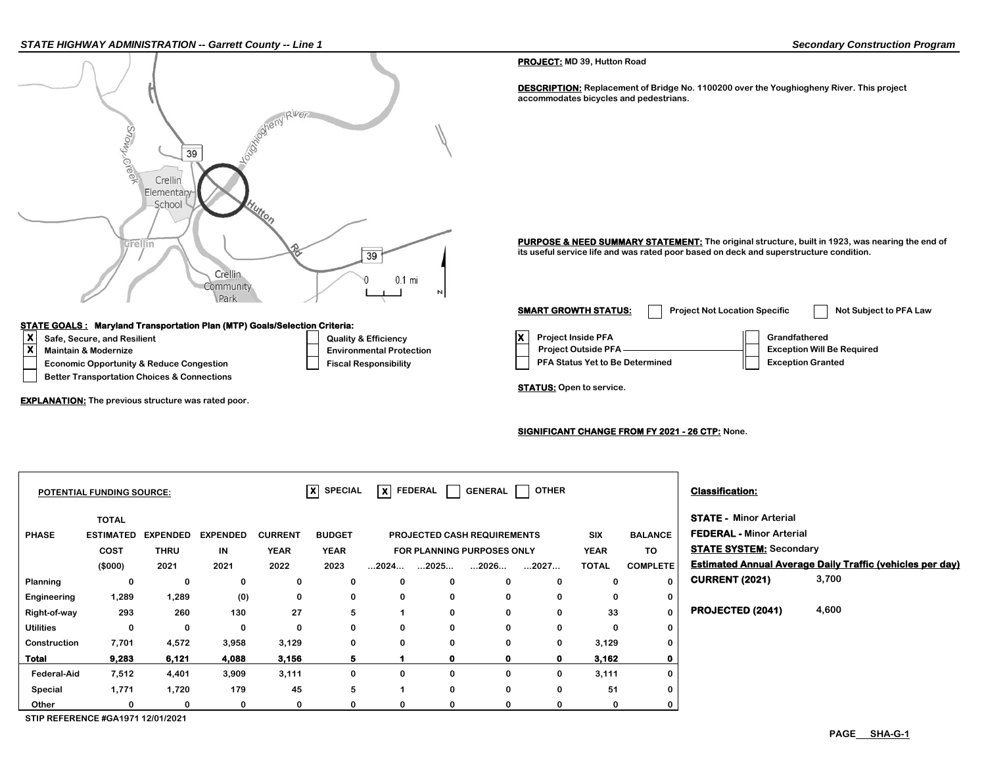

 **Other 0 0 0 0 0 0**

**POTENTIAL FUNDING SOURCE:**  $\overline{X}$  **SPECIAL**  $\overline{X}$  **FEDERAL** GENERAL **TOTAL STATE - Minor Arterial PHASE ESTIMATED EXPENDED EXPENDED CURRENT SIX FEDERAL - Minor Arterial COST THRU IN YEAR YEAR STATE SYSTEM: Secondary YEAR FOR PLANNING PURPOSES ONLY TO (\$000) 2021 2021 2022 ...2026... TOTAL Estimated Annual Average Daily Traffic (vehicles per day) Planning 0 0 0 0 0 0 CURRENT (2021) Engineering 1,289 1,289 (0) 0 0 0 Right-of-way 293 260 130 27 0 33 PROJECTED (2041) Utilities 0 0 0 0 0 0 Construction 7,701 4,572 3,958 3,129 0 3,129 Total 9,283 6,121 4,088 3,156 0 3,162 Federal-Aid 7,512 4,401 3,909 3,111 0 3,111 Special 1,771 1,720 179 45 0 51 0 0 0 0 0 5 1 0 0 0 0 0 0 0 0 5 1 0 0 0 0 0 0 0 0 5 1 0 0 0 4,600 3,700 0 0 0 0 0 2023 ...2024... ...2025... ...2027... COMPLETE 0 0 0 0 0 PROJECTED CASH REQUIREMENTS X** FEDERAL GENERAL OTHER **Classification:** 

**0 0 0 0 0**

**STIP REFERENCE #GA1971 12/01/2021**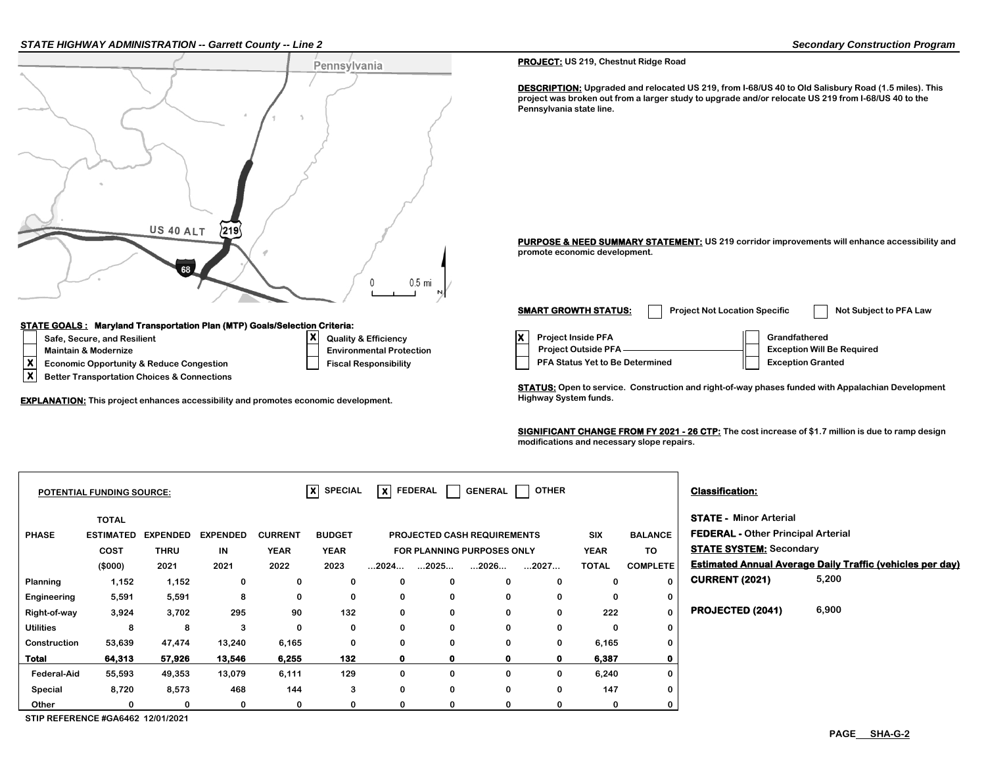### *STATE HIGHWAY ADMINISTRATION -- Garrett County -- Line 2 Secondary Construction Program*



**EXPLANATION:** This project enhances accessibility and promotes economic development. This may be all the Highway System funds.

**X Better Transportation Choices & Connections**

**PROJECT: US 219, Chestnut Ridge Road**

**DESCRIPTION: Upgraded and relocated US 219, from I-68/US 40 to Old Salisbury Road (1.5 miles). This project was broken out from a larger study to upgrade and/or relocate US 219 from I-68/US 40 to the Pennsylvania state line.**

**PURPOSE & NEED SUMMARY STATEMENT: US 219 corridor improvements will enhance accessibility and promote economic development.**

**X Economic Opportunity & Reduce Congestion Fiscal Responsibility PFA Status Yet to Be Determined** Exception Granted **A** Better Transportation Choices & Connections **Environmental Protection Project Outside PFA <u>Conservation Mill</u> Exception Will Be Required SMART GROWTH STATUS:** Project Not Location Specific Not Subject to PFA Law

**STATUS: Open to service. Construction and right-of-way phases funded with Appalachian Development** 

**SIGNIFICANT CHANGE FROM FY 2021 - 26 CTP: The cost increase of \$1.7 million is due to ramp design modifications and necessary slope repairs.**

|              |                 |                                                      |                | x             | lxl                  |                | <b>GENERAL</b> | <b>OTHER</b> |                                                                         |                 | <b>Classification:</b>  |                                                                                                              |
|--------------|-----------------|------------------------------------------------------|----------------|---------------|----------------------|----------------|----------------|--------------|-------------------------------------------------------------------------|-----------------|-------------------------|--------------------------------------------------------------------------------------------------------------|
| <b>TOTAL</b> |                 |                                                      |                |               |                      |                |                |              |                                                                         |                 |                         |                                                                                                              |
|              | <b>EXPENDED</b> | <b>EXPENDED</b>                                      | <b>CURRENT</b> | <b>BUDGET</b> |                      |                |                |              | <b>SIX</b>                                                              | <b>BALANCE</b>  |                         |                                                                                                              |
| <b>COST</b>  | <b>THRU</b>     | IN                                                   | <b>YEAR</b>    | <b>YEAR</b>   |                      |                |                |              | <b>YEAR</b>                                                             | TO              |                         |                                                                                                              |
| (\$000)      | 2021            | 2021                                                 | 2022           | 2023          | $\dots$ 2024 $\dots$ | 2025           | 2026           | 2027         | <b>TOTAL</b>                                                            | <b>COMPLETE</b> |                         | <b>Estimated Annual Average Daily Traffic (vehicles per day)</b>                                             |
| 1,152        | 1,152           | 0                                                    | 0              | 0             | $\bf{0}$             | $\Omega$       | 0              | $\mathbf{0}$ | $\bf{0}$                                                                |                 | <b>CURRENT (2021)</b>   | 5,200                                                                                                        |
| 5,591        | 5,591           | 8                                                    | 0              | 0             | 0                    | 0              | 0              | $\bf{0}$     | 0                                                                       | 0               |                         |                                                                                                              |
| 3,924        | 3,702           | 295                                                  | 90             | 132           | $\mathbf 0$          | $\mathbf{0}$   | 0              | 0            | 222                                                                     |                 | <b>PROJECTED (2041)</b> | 6,900                                                                                                        |
| 8            | 8               | 3                                                    | 0              | 0             | 0                    | $\mathbf{0}$   | 0              | $\bf{0}$     | 0                                                                       | 0               |                         |                                                                                                              |
| 53,639       | 47,474          | 13,240                                               | 6,165          | 0             | 0                    | $\mathbf{0}$   | 0              | 0            |                                                                         |                 |                         |                                                                                                              |
| 64,313       | 57,926          | 13,546                                               | 6,255          | 132           | $\mathbf{0}$         | 0              | 0              | $\mathbf 0$  | 6,387                                                                   | 0               |                         |                                                                                                              |
| 55,593       | 49,353          | 13,079                                               | 6,111          | 129           | $\mathbf 0$          | $\mathbf{0}$   | 0              | 0            |                                                                         | 0               |                         |                                                                                                              |
| 8,720        | 8,573           | 468                                                  | 144            | 3             | 0                    | $\mathbf{0}$   | 0              | $\Omega$     | 147                                                                     | 0               |                         |                                                                                                              |
| 0            | 0               | 0                                                    | 0              | 0             | $\bf{0}$             |                | 0              | 0            | 0                                                                       |                 |                         |                                                                                                              |
|              |                 | <b>POTENTIAL FUNDING SOURCE:</b><br><b>ESTIMATED</b> |                |               |                      | <b>SPECIAL</b> | <b>FEDERAL</b> |              | <b>PROJECTED CASH REQUIREMENTS</b><br><b>FOR PLANNING PURPOSES ONLY</b> |                 | 6,165<br>6,240          | <b>STATE - Minor Arterial</b><br><b>FEDERAL - Other Principal Arterial</b><br><b>STATE SYSTEM: Secondary</b> |

**STIP REFERENCE #GA6462 12/01/2021**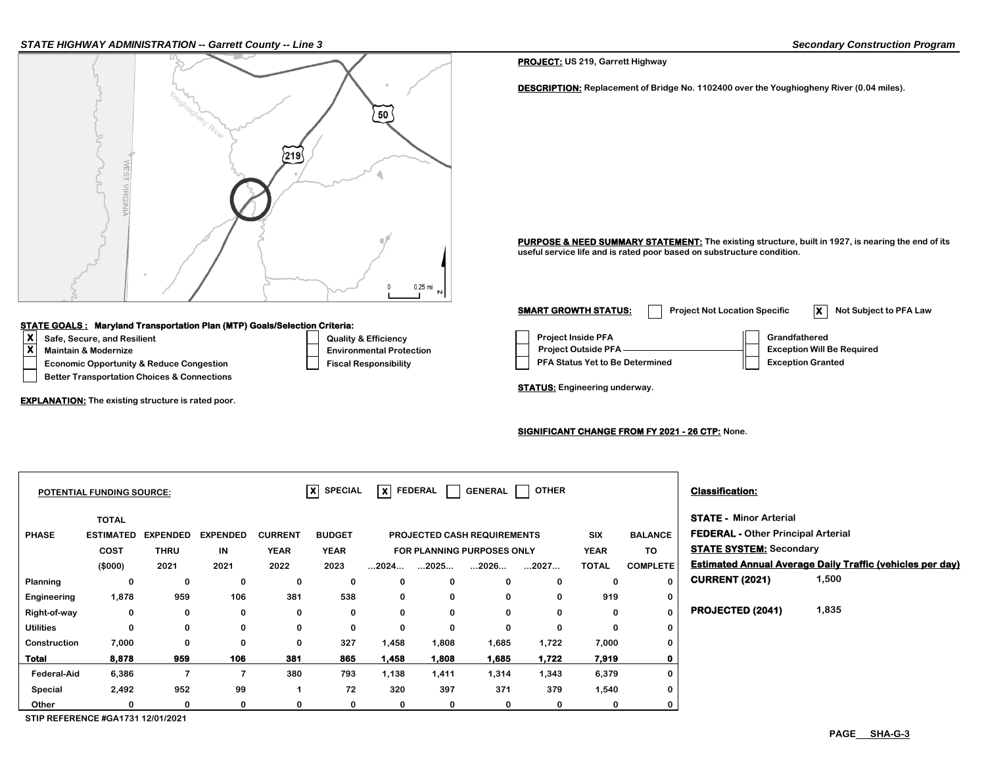### *STATE HIGHWAY ADMINISTRATION -- Garrett County -- Line 3 Secondary Construction Program*



### **STATE GOALS : Maryland Transportation Plan (MTP) Goals/Selection Criteria:**

- 
- 
- **Better Transportation Choices & Connections**

**EXPLANATION: The existing structure is rated poor.**

 $\vert$  **X**  $\vert$  SPECIAL  $\vert$  X  $\vert$  FEDERAL  $\vert$  GENERAL  $\vert$  OTHER  $\vert$  **Classification:** 

|                    | <b>TOTAL</b>     |                 |                 |                |               |       |       |                                    |       |              |                 | <b>STATE - Minor Arterial</b>          |       |
|--------------------|------------------|-----------------|-----------------|----------------|---------------|-------|-------|------------------------------------|-------|--------------|-----------------|----------------------------------------|-------|
| <b>PHASE</b>       | <b>ESTIMATED</b> | <b>EXPENDED</b> | <b>EXPENDED</b> | <b>CURRENT</b> | <b>BUDGET</b> |       |       | <b>PROJECTED CASH REQUIREMENTS</b> |       | <b>SIX</b>   | <b>BALANCE</b>  | <b>FEDERAL - Other Principal Arter</b> |       |
|                    | <b>COST</b>      | <b>THRU</b>     | IN              | <b>YEAR</b>    | <b>YEAR</b>   |       |       | <b>FOR PLANNING PURPOSES ONLY</b>  |       | <b>YEAR</b>  | TO              | <b>STATE SYSTEM: Secondary</b>         |       |
|                    | (\$000)          | 2021            | 2021            | 2022           | 2023          | 2024  | .2025 | 2026                               | 2027  | <b>TOTAL</b> | <b>COMPLETE</b> | <b>Estimated Annual Average Daily</b>  |       |
| Planning           | 0                | 0               | 0               | 0              | 0             | 0     | 0     | 0                                  | 0     | 0            | 0               | <b>CURRENT (2021)</b>                  | 1,500 |
| Engineering        | 1,878            | 959             | 106             | 381            | 538           | 0     | 0     | 0                                  | 0     | 919          | 0               |                                        |       |
| Right-of-way       | 0                | 0               | 0               | 0              | 0             | 0     | 0     | 0                                  | 0     | 0            | 0               | PROJECTED (2041)                       | 1,835 |
| Utilities          | 0                | 0               | 0               | 0              | 0             | 0     | 0     | 0                                  | 0     | 0            | 0               |                                        |       |
| Construction       | 7,000            | 0               | 0               | 0              | 327           | 1,458 | 1,808 | 1,685                              | 1,722 | 7,000        | 0               |                                        |       |
| Total              | 8,878            | 959             | 106             | 381            | 865           | 1,458 | 1.808 | 1,685                              | 1,722 | 7,919        | 0               |                                        |       |
| <b>Federal-Aid</b> | 6,386            | 7               |                 | 380            | 793           | 1,138 | 1,411 | 1,314                              | 1,343 | 6,379        | 0               |                                        |       |
| Special            | 2,492            | 952             | 99              |                | 72            | 320   | 397   | 371                                | 379   | 1,540        | 0               |                                        |       |
| Other              | 0                | 0               | $\Omega$        | 0              | 0             | 0     | 0     | 0                                  | 0     | 0            | 0               |                                        |       |

# **PHASE FEDERAL - Other Principal Arterial STATE SYSTEM:** Secondary **(\$000) 2021 2021 2022 ...2026... TOTAL Estimated Annual Average Daily Traffic (vehicles per day) 1,500**

PURPOSE & NEED SUMMARY STATEMENT: The existing structure, built in 1927, is nearing the end of its **useful service life and is rated poor based on substructure condition.**

**DESCRIPTION: Replacement of Bridge No. 1102400 over the Youghiogheny River (0.04 miles).**

**X** Safe, Secure, and Resilient **Conserver Conserver Conserver Conserver Conserver Conserver Conserver Conserver Conserver Conserver Conserver Conserver Conserver Conserver Conserver Conserver Conserver Conserver Conserver Economic Opportunity & Reduce Congestion Fiscal Responsibility Responsibility PFA Status Yet to Be Determined Fiscal Responsibility Maintain & Modernize** ★ **We Required Environmental Protection** Project Outside PFA —————————————— Exception Will Be Required **SMART GROWTH STATUS:** Project Not Location Specific **X** Not Subject to PFA Law

**STATUS: Engineering underway.** 

**PROJECT: US 219, Garrett Highway**

### **SIGNIFICANT CHANGE FROM FY 2021 - 26 CTP: None.**

**STIP REFERENCE #GA1731 12/01/2021**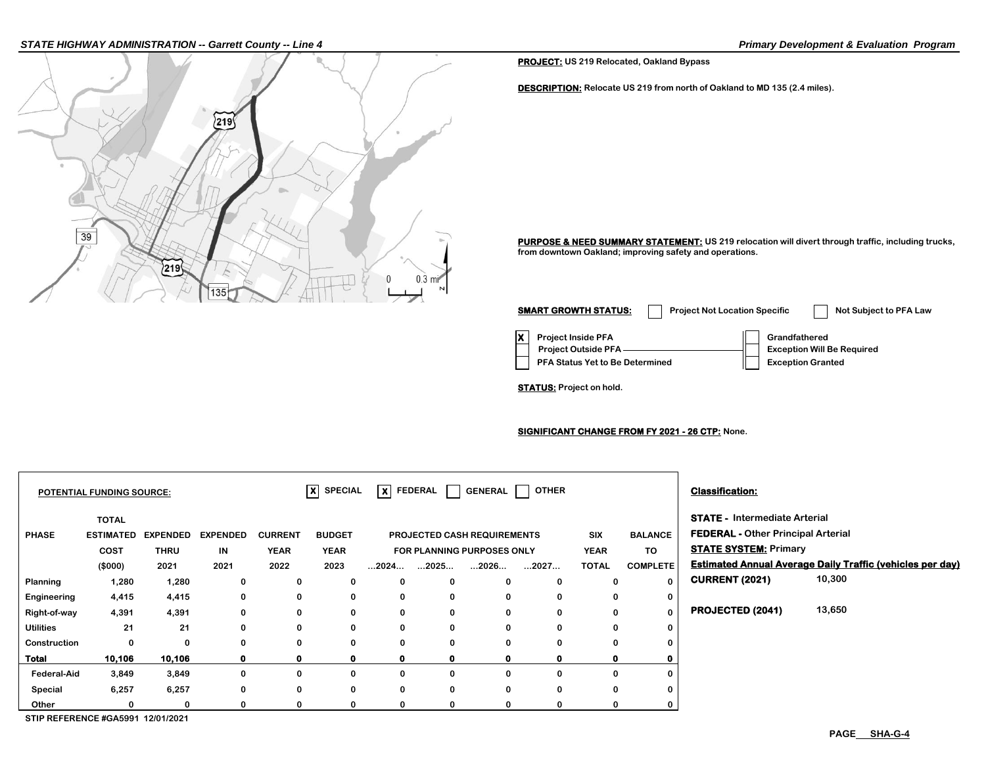### *STATE HIGHWAY ADMINISTRATION -- Garrett County -- Line 4 Primary Development & Evaluation Program*



**PROJECT: US 219 Relocated, Oakland Bypass**

**DESCRIPTION: Relocate US 219 from north of Oakland to MD 135 (2.4 miles).**

PURPOSE & NEED SUMMARY STATEMENT: US 219 relocation will divert through traffic, including trucks, **from downtown Oakland; improving safety and operations.**

**X** Project Inside PFA **Grandfathered PFA Status Yet to Be Determined Exception Granted Project Outside PFA Exception Will Be Required SMART GROWTH STATUS:** Project Not Location Specific Not Subject to PFA Law

**STATUS: Project on hold.**

**SIGNIFICANT CHANGE FROM FY 2021 - 26 CTP: None.**

|                                          | <b>POTENTIAL FUNDING SOURCE:</b> |                 |                 |                | $ X $ SPECIAL |                      | X FEDERAL            | <b>GENERAL</b>                     | <b>OTHER</b> |              |                 | <b>Classification:</b>                    |                                                                  |
|------------------------------------------|----------------------------------|-----------------|-----------------|----------------|---------------|----------------------|----------------------|------------------------------------|--------------|--------------|-----------------|-------------------------------------------|------------------------------------------------------------------|
|                                          | <b>TOTAL</b>                     |                 |                 |                |               |                      |                      |                                    |              |              |                 | <b>STATE - Intermediate Arterial</b>      |                                                                  |
| <b>PHASE</b>                             | <b>ESTIMATED</b>                 | <b>EXPENDED</b> | <b>EXPENDED</b> | <b>CURRENT</b> | <b>BUDGET</b> |                      |                      | <b>PROJECTED CASH REQUIREMENTS</b> |              | <b>SIX</b>   | <b>BALANCE</b>  | <b>FEDERAL - Other Principal Arterial</b> |                                                                  |
|                                          | <b>COST</b>                      | <b>THRU</b>     | IN              | <b>YEAR</b>    | <b>YEAR</b>   |                      |                      | FOR PLANNING PURPOSES ONLY         |              | <b>YEAR</b>  | TO              | <b>STATE SYSTEM: Primary</b>              |                                                                  |
|                                          | (\$000)                          | 2021            | 2021            | 2022           | 2023          | $\dots$ 2024 $\dots$ | $\dots$ 2025 $\dots$ | 2026                               | 2027         | <b>TOTAL</b> | <b>COMPLETE</b> |                                           | <b>Estimated Annual Average Daily Traffic (vehicles per day)</b> |
| Planning                                 | 1,280                            | 1,280           | 0               | 0              | 0             | 0                    | 0                    | 0                                  | 0            | 0            |                 | <b>CURRENT (2021)</b>                     | 10,300                                                           |
| Engineering                              | 4,415                            | 4,415           | 0               | 0              | 0             | 0                    | 0                    | 0                                  | 0            | 0            |                 |                                           |                                                                  |
| Right-of-way                             | 4,391                            | 4,391           | 0               | 0              | 0             | 0                    | 0                    | 0                                  | 0            | 0            | 0               | PROJECTED (2041)                          | 13,650                                                           |
| <b>Utilities</b>                         | 21                               | 21              | 0               | 0              | 0             | 0                    | 0                    | 0                                  | 0            | $\mathbf 0$  |                 |                                           |                                                                  |
| Construction                             | $\Omega$                         | 0               | 0               | 0              | 0             | 0                    | 0                    | 0                                  |              | $\mathbf 0$  |                 |                                           |                                                                  |
| Total                                    | 10,106                           | 10,106          | 0               | $\mathbf{0}$   | $\mathbf{0}$  | $\mathbf{o}$         | 0                    | 0                                  | 0            | $\mathbf o$  |                 |                                           |                                                                  |
| <b>Federal-Aid</b>                       | 3,849                            | 3,849           | 0               | 0              | 0             | 0                    | 0                    | 0                                  |              | $\Omega$     |                 |                                           |                                                                  |
| Special                                  | 6,257                            | 6,257           | 0               | 0              | 0             | 0                    | 0                    | 0                                  | 0            | 0            |                 |                                           |                                                                  |
| Other                                    | n                                | $\Omega$        |                 | $\Omega$       | 0             | 0                    | 0                    | o                                  |              | $\Omega$     |                 |                                           |                                                                  |
| <b>CTID DEEEDENCE #CAE004 49/04/2024</b> |                                  |                 |                 |                |               |                      |                      |                                    |              |              |                 |                                           |                                                                  |

**STIP REFERENCE #GA5991 12/01/2021**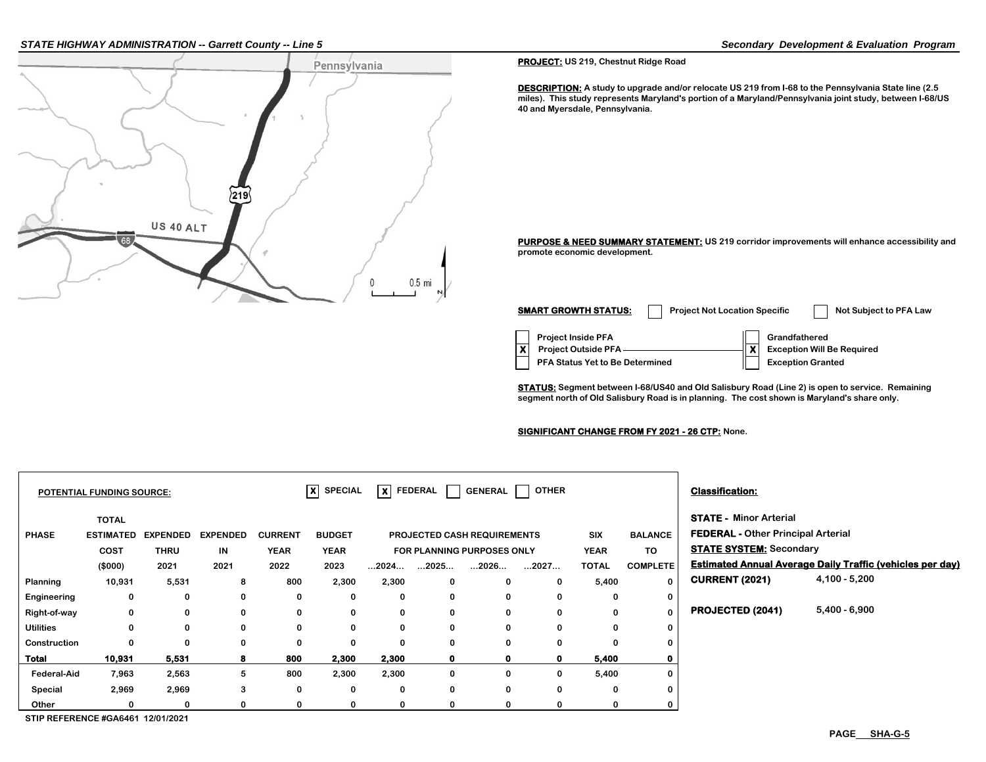### *STATE HIGHWAY ADMINISTRATION -- Garrett County -- Line 5 Secondary Development & Evaluation Program*



**PROJECT: US 219, Chestnut Ridge Road**

**DESCRIPTION: A study to upgrade and/or relocate US 219 from I-68 to the Pennsylvania State line (2.5 miles). This study represents Maryland's portion of a Maryland/Pennsylvania joint study, between I-68/US 40 and Myersdale, Pennsylvania.**

**PURPOSE & NEED SUMMARY STATEMENT: US 219 corridor improvements will enhance accessibility and promote economic development.**

**Project Inside PFA Grandfathered PFA Status Yet to Be Determined**  $||$  **Exception Granted X** Project Outside PFA ————————————**X** Exception Will Be Required **SMART GROWTH STATUS:** Project Not Location Specific Not Subject to PFA Law

**STATUS: Segment between I-68/US40 and Old Salisbury Road (Line 2) is open to service. Remaining segment north of Old Salisbury Road is in planning. The cost shown is Maryland's share only.**

## **SIGNIFICANT CHANGE FROM FY 2021 - 26 CTP: None.**

|                    | <b>POTENTIAL FUNDING SOURCE:</b>                    |                                        |                               |                                       | $ X $ SPECIAL                        | $\overline{\mathsf{x}}$ FEDERAL |             | <b>GENERAL</b>                                                    | <b>OTHER</b> |                                    |                                         | <b>Classification:</b>                                                                                       |                                                                  |
|--------------------|-----------------------------------------------------|----------------------------------------|-------------------------------|---------------------------------------|--------------------------------------|---------------------------------|-------------|-------------------------------------------------------------------|--------------|------------------------------------|-----------------------------------------|--------------------------------------------------------------------------------------------------------------|------------------------------------------------------------------|
| <b>PHASE</b>       | <b>TOTAL</b><br><b>ESTIMATED</b><br>COST<br>(\$000) | <b>EXPENDED</b><br><b>THRU</b><br>2021 | <b>EXPENDED</b><br>IN<br>2021 | <b>CURRENT</b><br><b>YEAR</b><br>2022 | <b>BUDGET</b><br><b>YEAR</b><br>2023 | $\dots$ 2024 $\dots$            | 2025        | PROJECTED CASH REQUIREMENTS<br>FOR PLANNING PURPOSES ONLY<br>2026 | 2027         | SIX<br><b>YEAR</b><br><b>TOTAL</b> | <b>BALANCE</b><br>TO<br><b>COMPLETE</b> | <b>STATE - Minor Arterial</b><br><b>FEDERAL - Other Principal Arterial</b><br><b>STATE SYSTEM: Secondary</b> | <b>Estimated Annual Average Daily Traffic (vehicles per day)</b> |
| Planning           | 10,931                                              | 5,531                                  | 8                             | 800                                   | 2,300                                | 2,300                           | 0           | $\mathbf{0}$                                                      | $\mathbf 0$  | 5,400                              | $\mathbf{0}$                            | <b>CURRENT (2021)</b>                                                                                        | $4,100 - 5,200$                                                  |
| Engineering        | 0                                                   | 0                                      | $\bf{0}$                      | 0                                     | 0                                    | 0                               | 0           | $\mathbf{0}$                                                      | 0            | 0                                  | 0                                       |                                                                                                              |                                                                  |
| Right-of-way       | 0                                                   | $\Omega$                               | $\bf{0}$                      | 0                                     | 0                                    | 0                               | 0           | $\mathbf{0}$                                                      | 0            |                                    | $\mathbf{0}$                            | PROJECTED (2041)                                                                                             | 5,400 - 6,900                                                    |
| <b>Utilities</b>   | $\bf{0}$                                            | $\bf{0}$                               | $\mathbf 0$                   | 0                                     | $\mathbf 0$                          | $\mathbf 0$                     | $\mathbf 0$ | $\mathbf{0}$                                                      | $\bf{0}$     | $\bf{0}$                           | 0                                       |                                                                                                              |                                                                  |
| Construction       | 0                                                   | $\Omega$                               | $\mathbf 0$                   | 0                                     | 0                                    | $\mathbf 0$                     | $\mathbf 0$ | $\mathbf{0}$                                                      | 0            |                                    | 0                                       |                                                                                                              |                                                                  |
| <b>Total</b>       | 10,931                                              | 5,531                                  | 8                             | 800                                   | 2,300                                | 2,300                           | 0           |                                                                   | $\mathbf 0$  | 5,400                              |                                         |                                                                                                              |                                                                  |
| <b>Federal-Aid</b> | 7,963                                               | 2,563                                  | 5                             | 800                                   | 2,300                                | 2,300                           | 0           | $\mathbf{0}$                                                      | 0            | 5,400                              | 0                                       |                                                                                                              |                                                                  |
| Special            | 2,969                                               | 2,969                                  | 3                             | 0                                     | 0                                    | 0                               | 0           | 0                                                                 | 0            | 0                                  | 0                                       |                                                                                                              |                                                                  |
| Other              | 0                                                   | 0                                      | $\Omega$                      | 0                                     | 0                                    | 0                               | 0           |                                                                   | 0            |                                    | 0                                       |                                                                                                              |                                                                  |

**STIP REFERENCE #GA6461 12/01/2021**